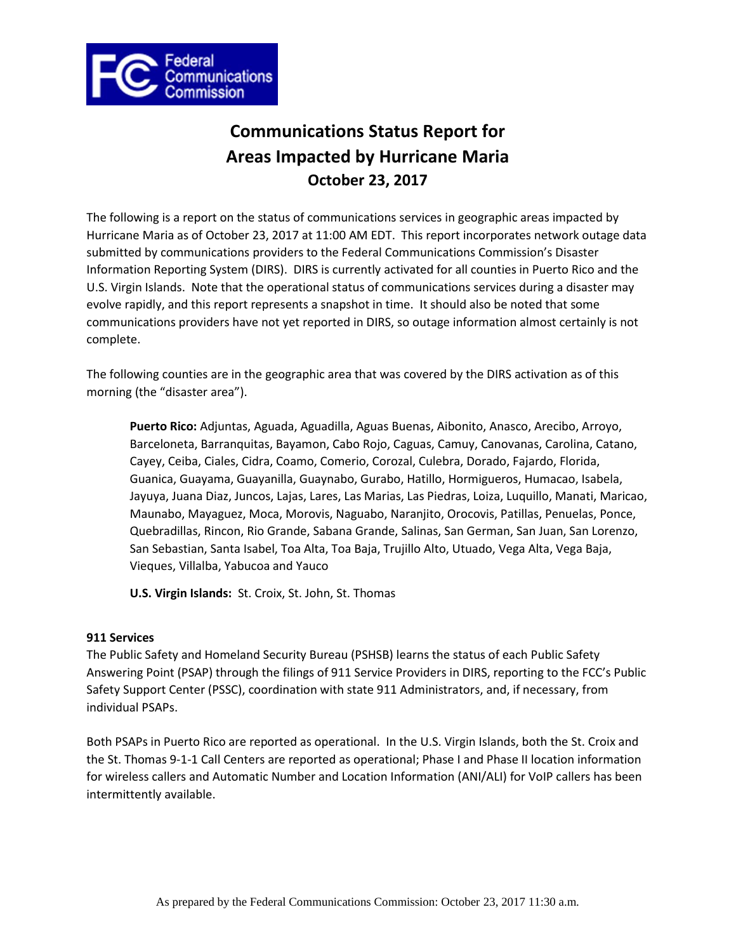

# **Communications Status Report for Areas Impacted by Hurricane Maria October 23, 2017**

The following is a report on the status of communications services in geographic areas impacted by Hurricane Maria as of October 23, 2017 at 11:00 AM EDT. This report incorporates network outage data submitted by communications providers to the Federal Communications Commission's Disaster Information Reporting System (DIRS). DIRS is currently activated for all counties in Puerto Rico and the U.S. Virgin Islands. Note that the operational status of communications services during a disaster may evolve rapidly, and this report represents a snapshot in time. It should also be noted that some communications providers have not yet reported in DIRS, so outage information almost certainly is not complete.

The following counties are in the geographic area that was covered by the DIRS activation as of this morning (the "disaster area").

**Puerto Rico:** Adjuntas, Aguada, Aguadilla, Aguas Buenas, Aibonito, Anasco, Arecibo, Arroyo, Barceloneta, Barranquitas, Bayamon, Cabo Rojo, Caguas, Camuy, Canovanas, Carolina, Catano, Cayey, Ceiba, Ciales, Cidra, Coamo, Comerio, Corozal, Culebra, Dorado, Fajardo, Florida, Guanica, Guayama, Guayanilla, Guaynabo, Gurabo, Hatillo, Hormigueros, Humacao, Isabela, Jayuya, Juana Diaz, Juncos, Lajas, Lares, Las Marias, Las Piedras, Loiza, Luquillo, Manati, Maricao, Maunabo, Mayaguez, Moca, Morovis, Naguabo, Naranjito, Orocovis, Patillas, Penuelas, Ponce, Quebradillas, Rincon, Rio Grande, Sabana Grande, Salinas, San German, San Juan, San Lorenzo, San Sebastian, Santa Isabel, Toa Alta, Toa Baja, Trujillo Alto, Utuado, Vega Alta, Vega Baja, Vieques, Villalba, Yabucoa and Yauco

**U.S. Virgin Islands:** St. Croix, St. John, St. Thomas

# **911 Services**

The Public Safety and Homeland Security Bureau (PSHSB) learns the status of each Public Safety Answering Point (PSAP) through the filings of 911 Service Providers in DIRS, reporting to the FCC's Public Safety Support Center (PSSC), coordination with state 911 Administrators, and, if necessary, from individual PSAPs.

Both PSAPs in Puerto Rico are reported as operational. In the U.S. Virgin Islands, both the St. Croix and the St. Thomas 9-1-1 Call Centers are reported as operational; Phase I and Phase II location information for wireless callers and Automatic Number and Location Information (ANI/ALI) for VoIP callers has been intermittently available.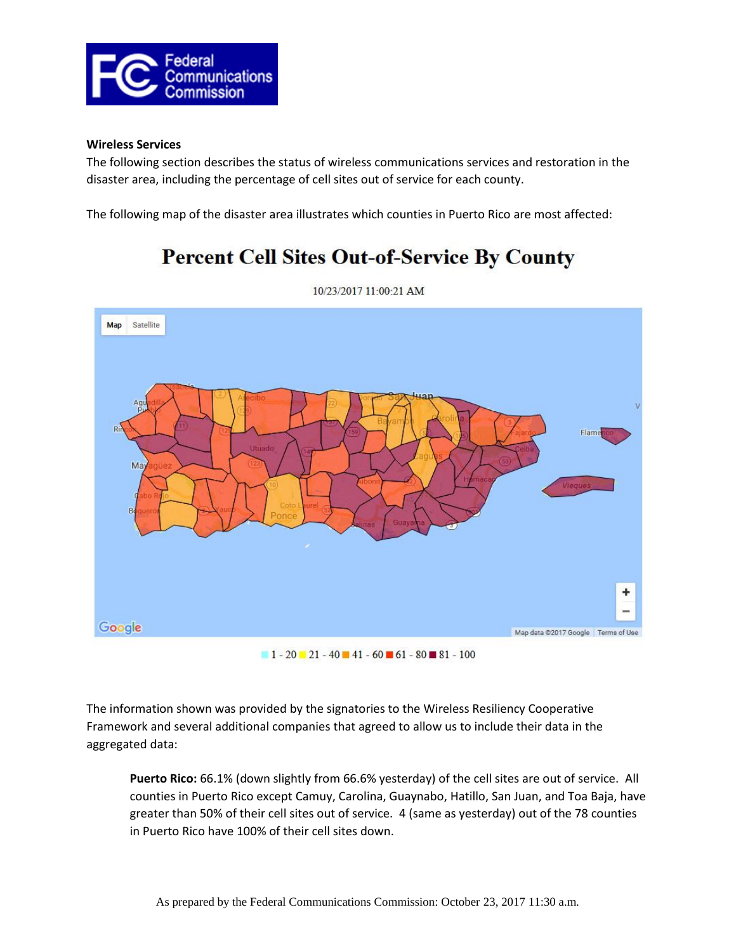

# **Wireless Services**

The following section describes the status of wireless communications services and restoration in the disaster area, including the percentage of cell sites out of service for each county.

The following map of the disaster area illustrates which counties in Puerto Rico are most affected:

# **Percent Cell Sites Out-of-Service By County**



10/23/2017 11:00:21 AM

 $1 - 20 - 21 - 40 - 41 - 60 - 61 - 80 - 81 - 100$ 

The information shown was provided by the signatories to the Wireless Resiliency Cooperative Framework and several additional companies that agreed to allow us to include their data in the aggregated data:

**Puerto Rico:** 66.1% (down slightly from 66.6% yesterday) of the cell sites are out of service. All counties in Puerto Rico except Camuy, Carolina, Guaynabo, Hatillo, San Juan, and Toa Baja, have greater than 50% of their cell sites out of service. 4 (same as yesterday) out of the 78 counties in Puerto Rico have 100% of their cell sites down.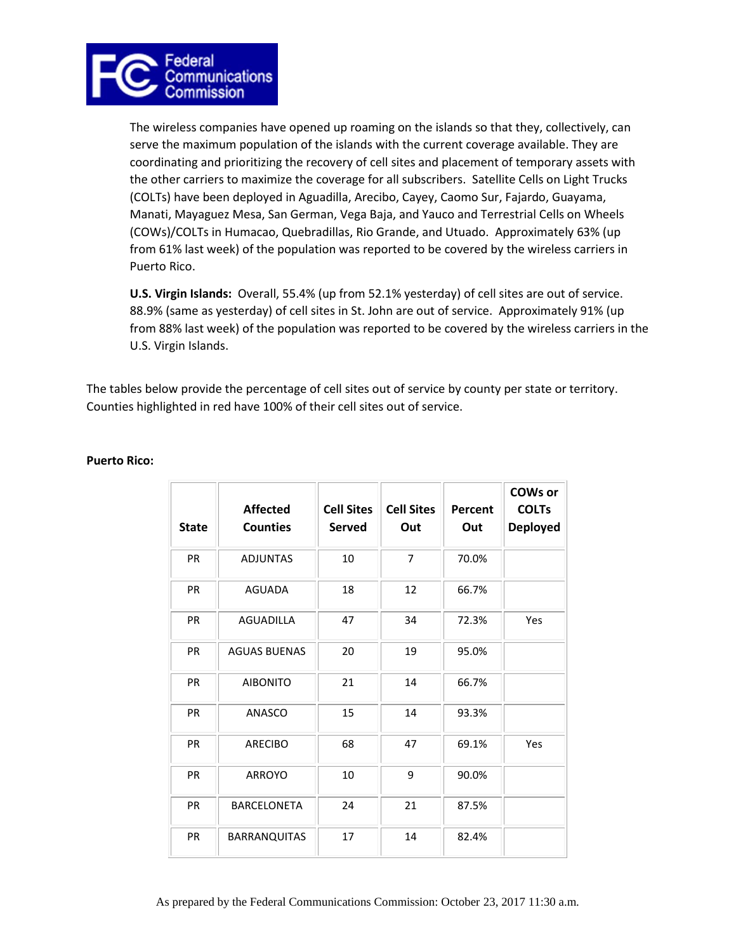

The wireless companies have opened up roaming on the islands so that they, collectively, can serve the maximum population of the islands with the current coverage available. They are coordinating and prioritizing the recovery of cell sites and placement of temporary assets with the other carriers to maximize the coverage for all subscribers. Satellite Cells on Light Trucks (COLTs) have been deployed in Aguadilla, Arecibo, Cayey, Caomo Sur, Fajardo, Guayama, Manati, Mayaguez Mesa, San German, Vega Baja, and Yauco and Terrestrial Cells on Wheels (COWs)/COLTs in Humacao, Quebradillas, Rio Grande, and Utuado. Approximately 63% (up from 61% last week) of the population was reported to be covered by the wireless carriers in Puerto Rico.

**U.S. Virgin Islands:** Overall, 55.4% (up from 52.1% yesterday) of cell sites are out of service. 88.9% (same as yesterday) of cell sites in St. John are out of service. Approximately 91% (up from 88% last week) of the population was reported to be covered by the wireless carriers in the U.S. Virgin Islands.

The tables below provide the percentage of cell sites out of service by county per state or territory. Counties highlighted in red have 100% of their cell sites out of service.

| <b>State</b> | <b>Affected</b><br><b>Counties</b> | <b>Cell Sites</b><br>Served | <b>Cell Sites</b><br>Out | Percent<br>Out | <b>COWs or</b><br><b>COLTs</b><br><b>Deployed</b> |
|--------------|------------------------------------|-----------------------------|--------------------------|----------------|---------------------------------------------------|
| PR           | <b>ADJUNTAS</b>                    | 10                          | $\overline{7}$           | 70.0%          |                                                   |
| PR           | <b>AGUADA</b>                      | 18                          | 12                       | 66.7%          |                                                   |
| <b>PR</b>    | <b>AGUADILLA</b>                   | 47                          | 34                       | 72.3%          | Yes                                               |
| <b>PR</b>    | <b>AGUAS BUENAS</b>                | 20                          | 19                       | 95.0%          |                                                   |
| <b>PR</b>    | <b>AIBONITO</b>                    | 21                          | 14                       | 66.7%          |                                                   |
| <b>PR</b>    | ANASCO                             | 15                          | 14                       | 93.3%          |                                                   |
| PR           | <b>ARECIBO</b>                     | 68                          | 47                       | 69.1%          | Yes                                               |
| PR           | <b>ARROYO</b>                      | 10                          | 9                        | 90.0%          |                                                   |
| PR           | <b>BARCELONETA</b>                 | 24                          | 21                       | 87.5%          |                                                   |
| <b>PR</b>    | <b>BARRANQUITAS</b>                | 17                          | 14                       | 82.4%          |                                                   |

# **Puerto Rico:**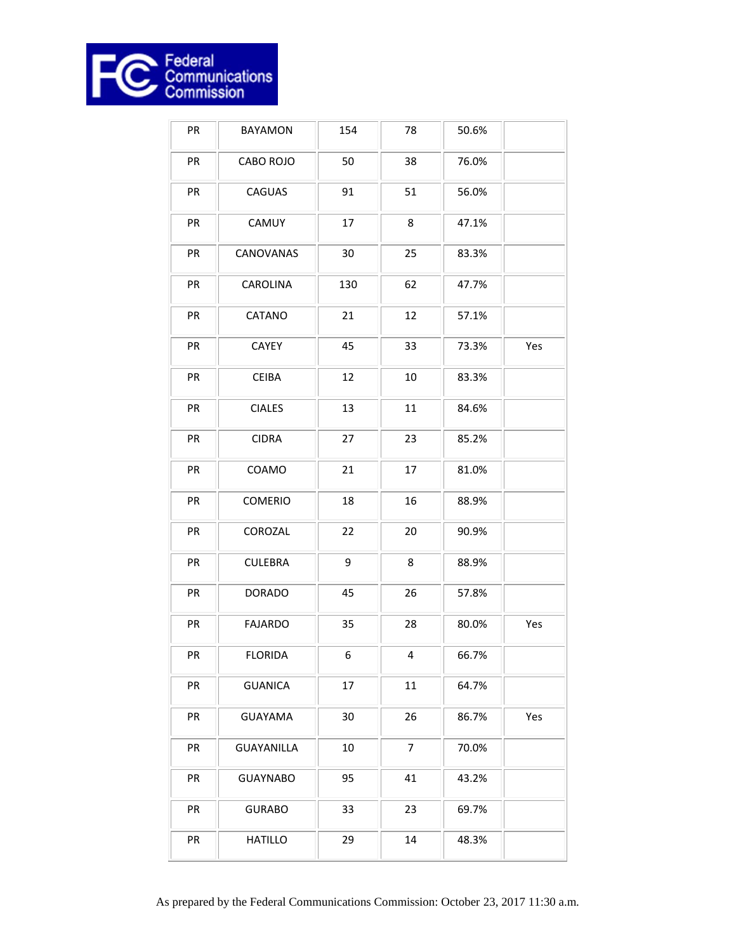

| PR | <b>BAYAMON</b>    | 154 | 78     | 50.6% |     |
|----|-------------------|-----|--------|-------|-----|
| PR | CABO ROJO         | 50  | 38     | 76.0% |     |
| PR | CAGUAS            | 91  | 51     | 56.0% |     |
| PR | CAMUY             | 17  | 8      | 47.1% |     |
| PR | CANOVANAS         | 30  | 25     | 83.3% |     |
| PR | CAROLINA          | 130 | 62     | 47.7% |     |
| PR | CATANO            | 21  | 12     | 57.1% |     |
| PR | CAYEY             | 45  | 33     | 73.3% | Yes |
| PR | <b>CEIBA</b>      | 12  | $10\,$ | 83.3% |     |
| PR | <b>CIALES</b>     | 13  | 11     | 84.6% |     |
| PR | <b>CIDRA</b>      | 27  | 23     | 85.2% |     |
| PR | COAMO             | 21  | 17     | 81.0% |     |
| PR | COMERIO           | 18  | 16     | 88.9% |     |
| PR | COROZAL           | 22  | 20     | 90.9% |     |
| PR | <b>CULEBRA</b>    | 9   | 8      | 88.9% |     |
| PR | <b>DORADO</b>     | 45  | 26     | 57.8% |     |
| PR | <b>FAJARDO</b>    | 35  | 28     | 80.0% | Yes |
| PR | <b>FLORIDA</b>    | 6   | 4      | 66.7% |     |
| PR | <b>GUANICA</b>    | 17  | 11     | 64.7% |     |
| PR | <b>GUAYAMA</b>    | 30  | 26     | 86.7% | Yes |
| PR | <b>GUAYANILLA</b> | 10  | 7      | 70.0% |     |
| PR | <b>GUAYNABO</b>   | 95  | 41     | 43.2% |     |
| PR | <b>GURABO</b>     | 33  | 23     | 69.7% |     |
| PR | <b>HATILLO</b>    | 29  | 14     | 48.3% |     |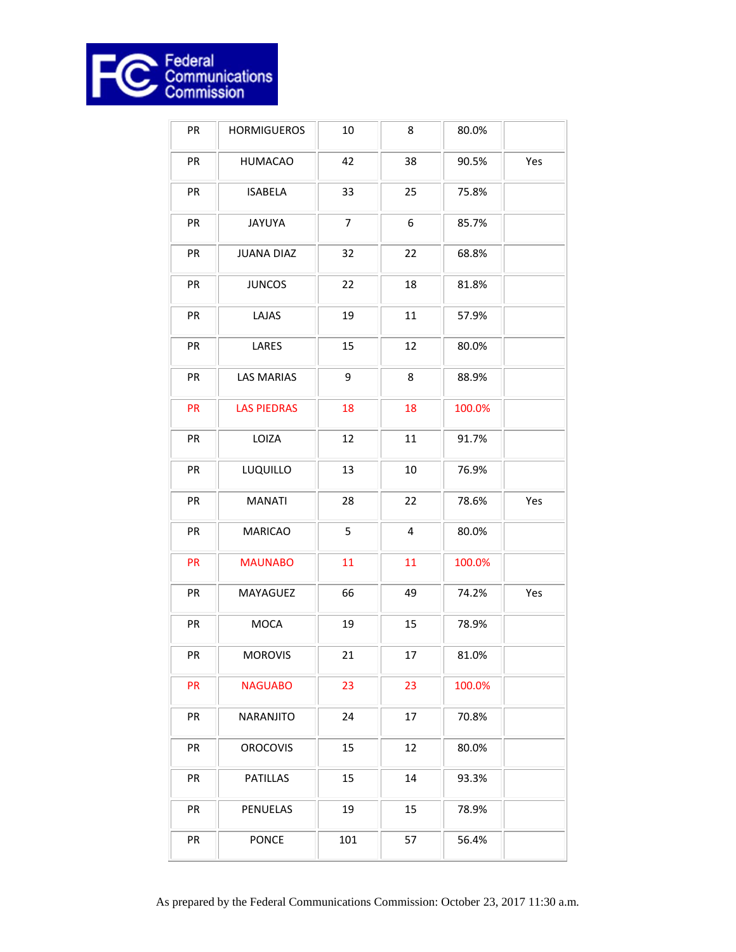

| PR | <b>HORMIGUEROS</b> | 10             | 8         | 80.0%  |     |
|----|--------------------|----------------|-----------|--------|-----|
| PR | <b>HUMACAO</b>     | 42             | 38        | 90.5%  | Yes |
| PR | <b>ISABELA</b>     | 33             | 25        | 75.8%  |     |
| PR | <b>JAYUYA</b>      | $\overline{7}$ | 6         | 85.7%  |     |
| PR | <b>JUANA DIAZ</b>  | 32             | 22        | 68.8%  |     |
| PR | <b>JUNCOS</b>      | 22             | 18        | 81.8%  |     |
| PR | LAJAS              | 19             | 11        | 57.9%  |     |
| PR | LARES              | 15             | 12        | 80.0%  |     |
| PR | <b>LAS MARIAS</b>  | 9              | 8         | 88.9%  |     |
| PR | <b>LAS PIEDRAS</b> | 18             | 18        | 100.0% |     |
| PR | LOIZA              | 12             | 11        | 91.7%  |     |
| PR | LUQUILLO           | 13             | 10        | 76.9%  |     |
| PR | <b>MANATI</b>      | 28             | 22        | 78.6%  | Yes |
| PR | <b>MARICAO</b>     | 5              | $\pmb{4}$ | 80.0%  |     |
| PR | <b>MAUNABO</b>     | 11             | 11        | 100.0% |     |
| PR | MAYAGUEZ           | 66             | 49        | 74.2%  | Yes |
| PR | <b>MOCA</b>        | 19             | 15        | 78.9%  |     |
| PR | <b>MOROVIS</b>     | 21             | 17        | 81.0%  |     |
| PR | <b>NAGUABO</b>     | 23             | 23        | 100.0% |     |
| PR | NARANJITO          | 24             | 17        | 70.8%  |     |
| PR | <b>OROCOVIS</b>    | 15             | 12        | 80.0%  |     |
| PR | <b>PATILLAS</b>    | 15             | 14        | 93.3%  |     |
| PR | PENUELAS           | 19             | 15        | 78.9%  |     |
| PR | <b>PONCE</b>       | 101            | 57        | 56.4%  |     |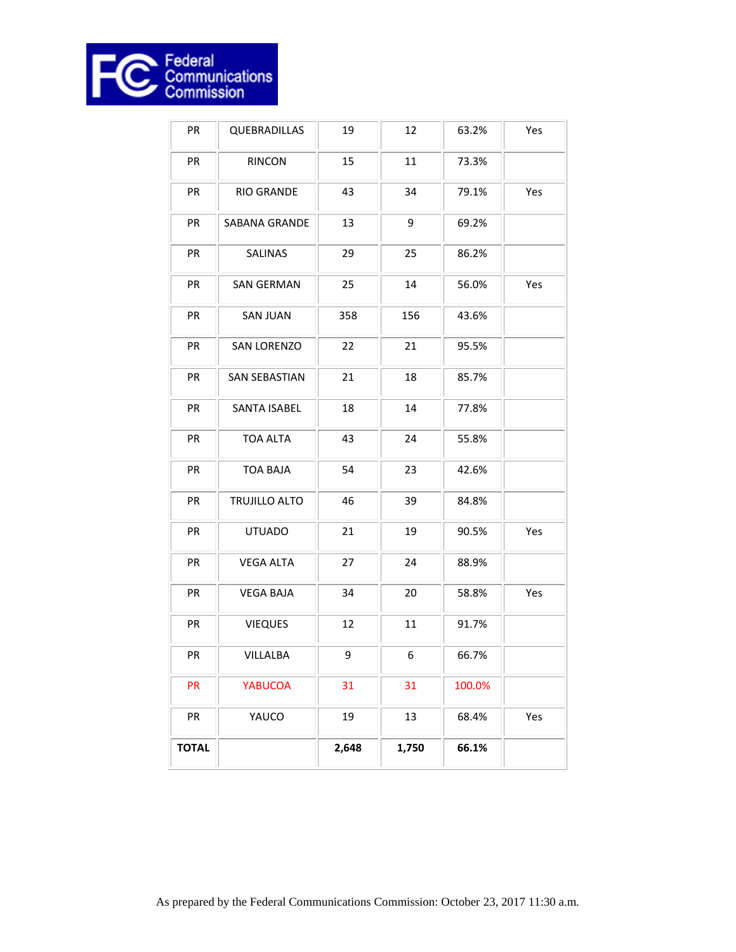

| PR           | QUEBRADILLAS         | 19    | 12    | 63.2%  | Yes |
|--------------|----------------------|-------|-------|--------|-----|
| PR           | <b>RINCON</b>        | 15    | 11    | 73.3%  |     |
| PR           | RIO GRANDE           | 43    | 34    | 79.1%  | Yes |
| PR           | SABANA GRANDE        | 13    | 9     | 69.2%  |     |
| PR           | SALINAS              | 29    | 25    | 86.2%  |     |
| PR           | <b>SAN GERMAN</b>    | 25    | 14    | 56.0%  | Yes |
| PR           | <b>SAN JUAN</b>      | 358   | 156   | 43.6%  |     |
| PR           | <b>SAN LORENZO</b>   | 22    | 21    | 95.5%  |     |
| PR           | <b>SAN SEBASTIAN</b> | 21    | 18    | 85.7%  |     |
| PR           | <b>SANTA ISABEL</b>  | 18    | 14    | 77.8%  |     |
| PR           | <b>TOA ALTA</b>      | 43    | 24    | 55.8%  |     |
| PR           | <b>TOA BAJA</b>      | 54    | 23    | 42.6%  |     |
| PR           | TRUJILLO ALTO        | 46    | 39    | 84.8%  |     |
| PR           | <b>UTUADO</b>        | 21    | 19    | 90.5%  | Yes |
| PR           | <b>VEGA ALTA</b>     | 27    | 24    | 88.9%  |     |
| PR           | <b>VEGA BAJA</b>     | 34    | 20    | 58.8%  | Yes |
| PR           | <b>VIEQUES</b>       | 12    | 11    | 91.7%  |     |
| PR           | VILLALBA             | 9     | 6     | 66.7%  |     |
| PR           | <b>YABUCOA</b>       | 31    | 31    | 100.0% |     |
| PR           | YAUCO                | 19    | 13    | 68.4%  | Yes |
| <b>TOTAL</b> |                      | 2,648 | 1,750 | 66.1%  |     |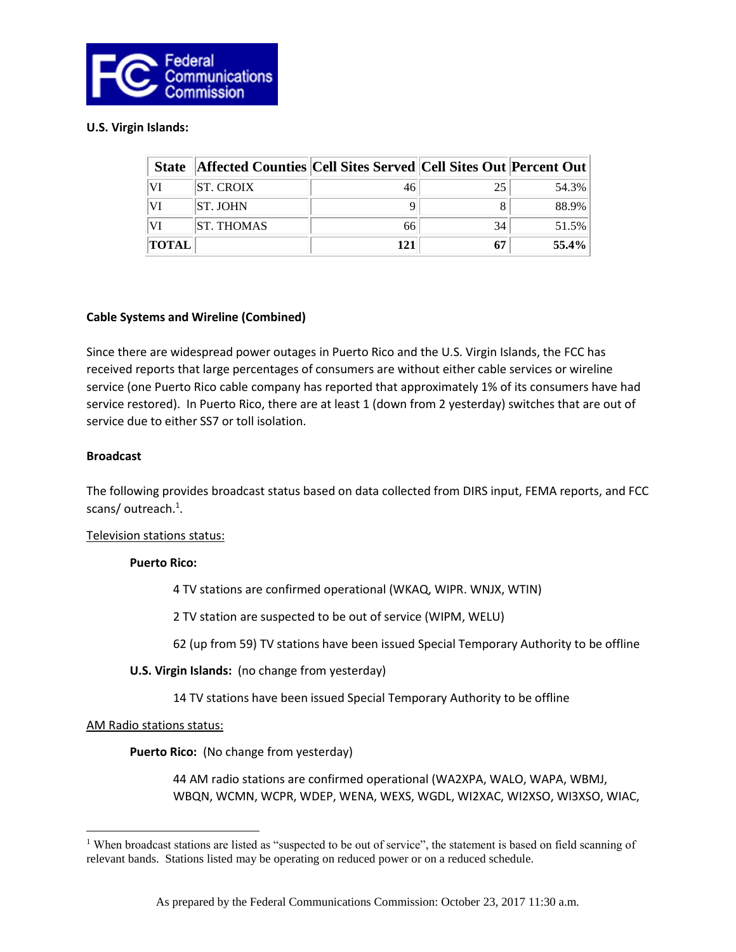

# **U.S. Virgin Islands:**

| <b>State</b> | <b>Affected Counties Cell Sites Served Cell Sites Out Percent Out</b> |     |    |       |
|--------------|-----------------------------------------------------------------------|-----|----|-------|
| VI           | <b>ST. CROIX</b>                                                      |     | 25 | 54.3% |
| VI           | <b>ST. JOHN</b>                                                       |     |    | 88.9% |
| VI           | <b>ST. THOMAS</b>                                                     | 66  | 34 | 51.5% |
| <b>TOTAL</b> |                                                                       | 121 | 67 | 55.4% |

#### **Cable Systems and Wireline (Combined)**

Since there are widespread power outages in Puerto Rico and the U.S. Virgin Islands, the FCC has received reports that large percentages of consumers are without either cable services or wireline service (one Puerto Rico cable company has reported that approximately 1% of its consumers have had service restored). In Puerto Rico, there are at least 1 (down from 2 yesterday) switches that are out of service due to either SS7 or toll isolation.

#### **Broadcast**

The following provides broadcast status based on data collected from DIRS input, FEMA reports, and FCC scans/outreach.<sup>1</sup>.

#### Television stations status:

# **Puerto Rico:**

4 TV stations are confirmed operational (WKAQ, WIPR. WNJX, WTIN)

2 TV station are suspected to be out of service (WIPM, WELU)

62 (up from 59) TV stations have been issued Special Temporary Authority to be offline

# **U.S. Virgin Islands:** (no change from yesterday)

14 TV stations have been issued Special Temporary Authority to be offline

#### AM Radio stations status:

 $\overline{\phantom{a}}$ 

**Puerto Rico:** (No change from yesterday)

44 AM radio stations are confirmed operational (WA2XPA, WALO, WAPA, WBMJ, WBQN, WCMN, WCPR, WDEP, WENA, WEXS, WGDL, WI2XAC, WI2XSO, WI3XSO, WIAC,

<sup>&</sup>lt;sup>1</sup> When broadcast stations are listed as "suspected to be out of service", the statement is based on field scanning of relevant bands. Stations listed may be operating on reduced power or on a reduced schedule.